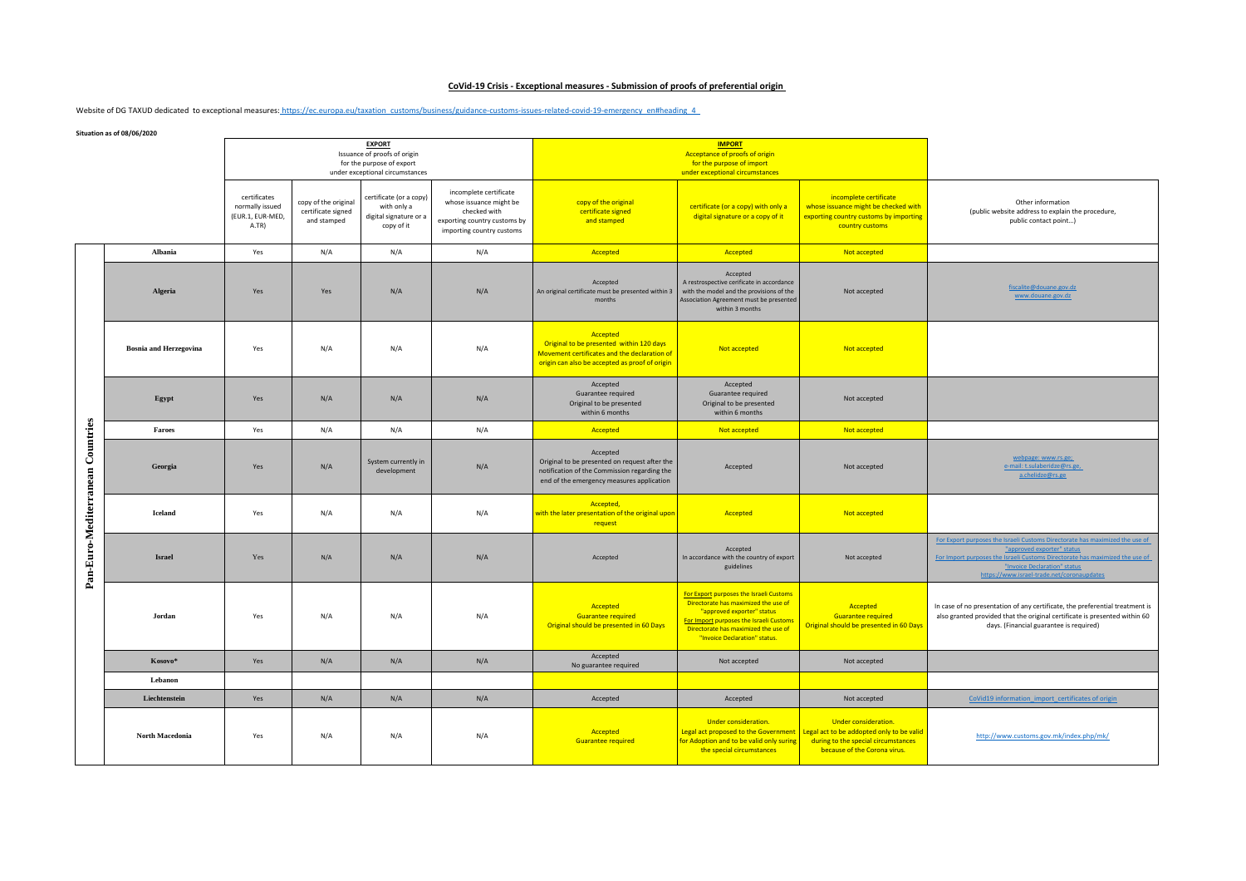## **CoVid-19 Crisis - Exceptional measures - Submission of proofs of preferential origin**

Website of DG TAXUD dedicated to exceptional measures: https://ec.europa.eu/taxation\_customs/business/guidance-customs-issues-related-covid-19-emergency\_en#heading\_4\_

**Situation as of 08/06/2020**

|                                  |                               | <b>EXPORT</b><br>Issuance of proofs of origin<br>for the purpose of export<br>under exceptional circumstances |                                                           |                                                                                |                                                                                                                                | <b>IMPORT</b><br>Acceptance of proofs of origin<br>for the purpose of import<br>under exceptional circumstances                                        |                                                                                                                                                                                                                                   |                                                                                                                                                                                 |                                                                                                                                                                                                                                                                          |
|----------------------------------|-------------------------------|---------------------------------------------------------------------------------------------------------------|-----------------------------------------------------------|--------------------------------------------------------------------------------|--------------------------------------------------------------------------------------------------------------------------------|--------------------------------------------------------------------------------------------------------------------------------------------------------|-----------------------------------------------------------------------------------------------------------------------------------------------------------------------------------------------------------------------------------|---------------------------------------------------------------------------------------------------------------------------------------------------------------------------------|--------------------------------------------------------------------------------------------------------------------------------------------------------------------------------------------------------------------------------------------------------------------------|
|                                  |                               | certificates<br>normally issued<br>(EUR.1, EUR-MED,<br>A.TR)                                                  | copy of the original<br>certificate signed<br>and stamped | certificate (or a copy)<br>with only a<br>digital signature or a<br>copy of it | incomplete certificate<br>whose issuance might be<br>checked with<br>exporting country customs by<br>importing country customs | copy of the original<br>certificate signed<br>and stamped                                                                                              | certificate (or a copy) with only a<br>digital signature or a copy of it                                                                                                                                                          | incomplete certificate<br>whose issuance might be checked with<br>exporting country customs by importing<br>country customs                                                     | Other information<br>(public website address to explain the procedure,<br>public contact point)                                                                                                                                                                          |
|                                  | Albania                       | Yes                                                                                                           | N/A                                                       | N/A                                                                            | N/A                                                                                                                            | Accepted                                                                                                                                               | Accepted                                                                                                                                                                                                                          | Not accepted                                                                                                                                                                    |                                                                                                                                                                                                                                                                          |
| Pan-Euro-Mediterranean Countries | Algeria                       | Yes                                                                                                           | Yes                                                       | N/A                                                                            | N/A                                                                                                                            | Accepted<br>An original certificate must be presented within 3<br>months                                                                               | Accepted<br>A restrospective cerificate in accordance<br>with the model and the provisions of the<br>Association Agreement must be presented<br>within 3 months                                                                   | Not accepted                                                                                                                                                                    | fiscalite@douane.gov.dz<br>www.douane.gov.dz                                                                                                                                                                                                                             |
|                                  | <b>Bosnia and Herzegovina</b> | Yes                                                                                                           | N/A                                                       | N/A                                                                            | N/A                                                                                                                            | Accepted<br>Original to be presented within 120 days<br>Movement certificates and the declaration of<br>origin can also be accepted as proof of origin | Not accepted                                                                                                                                                                                                                      | Not accepted                                                                                                                                                                    |                                                                                                                                                                                                                                                                          |
|                                  | Egypt                         | Yes                                                                                                           | N/A                                                       | N/A                                                                            | N/A                                                                                                                            | Accepted<br>Guarantee required<br>Original to be presented<br>within 6 months                                                                          | Accepted<br>Guarantee required<br>Original to be presented<br>within 6 months                                                                                                                                                     | Not accepted                                                                                                                                                                    |                                                                                                                                                                                                                                                                          |
|                                  | Faroes                        | Yes                                                                                                           | N/A                                                       | N/A                                                                            | N/A                                                                                                                            | Accepted                                                                                                                                               | Not accepted                                                                                                                                                                                                                      | Not accepted                                                                                                                                                                    |                                                                                                                                                                                                                                                                          |
|                                  | Georgia                       | Yes                                                                                                           | N/A                                                       | System currently in<br>development                                             | N/A                                                                                                                            | Accepted<br>Original to be presented on request after the<br>notification of the Commission regarding the<br>end of the emergency measures application | Accepted                                                                                                                                                                                                                          | Not accepted                                                                                                                                                                    | webpage: www.rs.ge;<br>e-mail: t.sulaberidze@rs.ge,<br>a.chelidze@rs.ge                                                                                                                                                                                                  |
|                                  | <b>Iceland</b>                | Yes                                                                                                           | N/A                                                       | N/A                                                                            | N/A                                                                                                                            | Accepted,<br>with the later presentation of the original upon<br>request                                                                               | Accepted                                                                                                                                                                                                                          | Not accepted                                                                                                                                                                    |                                                                                                                                                                                                                                                                          |
|                                  | <b>Israel</b>                 | Yes                                                                                                           | N/A                                                       | N/A                                                                            | N/A                                                                                                                            | Accepted                                                                                                                                               | Accepted<br>In accordance with the country of export<br>guidelines                                                                                                                                                                | Not accepted                                                                                                                                                                    | For Export purposes the Israeli Customs Directorate has maximized the use of<br>"approved exporter" status<br>For Import purposes the Israeli Customs Directorate has maximized the use of<br>"Invoice Declaration" status<br>https://www.israel-trade.net/coronaupdates |
|                                  | Jordan                        | Yes                                                                                                           | N/A                                                       | N/A                                                                            | N/A                                                                                                                            | Accepted<br><b>Guarantee required</b><br>Original should be presented in 60 Days                                                                       | For Export purposes the Israeli Customs<br>Directorate has maximized the use of<br>"approved exporter" status<br>For Import purposes the Israeli Customs<br>Directorate has maximized the use of<br>"Invoice Declaration" status. | Accepted<br><b>Guarantee required</b><br>Original should be presented in 60 Days                                                                                                | In case of no presentation of any certificate, the preferential treatment is<br>also granted provided that the original certificate is presented within 60<br>days. (Financial guarantee is required)                                                                    |
|                                  | Kosovo*                       | Yes                                                                                                           | N/A                                                       | N/A                                                                            | N/A                                                                                                                            | Accepted<br>No guarantee required                                                                                                                      | Not accepted                                                                                                                                                                                                                      | Not accepted                                                                                                                                                                    |                                                                                                                                                                                                                                                                          |
|                                  | Lebanon                       |                                                                                                               |                                                           |                                                                                |                                                                                                                                |                                                                                                                                                        |                                                                                                                                                                                                                                   |                                                                                                                                                                                 |                                                                                                                                                                                                                                                                          |
|                                  | Liechtenstein                 | Yes                                                                                                           | N/A                                                       | N/A                                                                            | N/A                                                                                                                            | Accepted                                                                                                                                               | Accepted                                                                                                                                                                                                                          | Not accepted                                                                                                                                                                    | CoVid19 information_import_certificates of origin                                                                                                                                                                                                                        |
|                                  | <b>North Macedonia</b>        | Yes                                                                                                           | N/A                                                       | N/A                                                                            | N/A                                                                                                                            | Accepted<br><b>Guarantee required</b>                                                                                                                  | Under consideration.<br>for Adoption and to be valid only suring<br>the special circumstances                                                                                                                                     | Under consideration.<br>Legal act proposed to the Government   Legal act to be addopted only to be valid<br>during to the special circumstances<br>because of the Corona virus. | http://www.customs.gov.mk/index.php/mk/                                                                                                                                                                                                                                  |